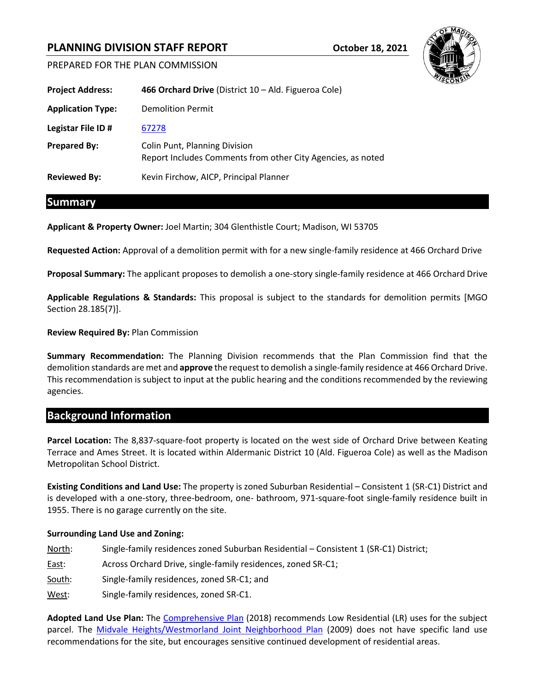# **PLANNING DIVISION STAFF REPORT October 18, 2021**



PREPARED FOR THE PLAN COMMISSION

| <b>Project Address:</b>  | 466 Orchard Drive (District 10 - Ald. Figueroa Cole)                                         |  |
|--------------------------|----------------------------------------------------------------------------------------------|--|
| <b>Application Type:</b> | <b>Demolition Permit</b>                                                                     |  |
| Legistar File ID#        | 67278                                                                                        |  |
| <b>Prepared By:</b>      | Colin Punt, Planning Division<br>Report Includes Comments from other City Agencies, as noted |  |
| <b>Reviewed By:</b>      | Kevin Firchow, AICP, Principal Planner                                                       |  |

## **Summary**

**Applicant & Property Owner:** Joel Martin; 304 Glenthistle Court; Madison, WI 53705

**Requested Action:** Approval of a demolition permit with for a new single-family residence at 466 Orchard Drive

**Proposal Summary:** The applicant proposes to demolish a one-story single-family residence at 466 Orchard Drive

**Applicable Regulations & Standards:** This proposal is subject to the standards for demolition permits [MGO Section 28.185(7)].

### **Review Required By:** Plan Commission

**Summary Recommendation:** The Planning Division recommends that the Plan Commission find that the demolition standards are met and **approve** the request to demolish a single-family residence at 466 Orchard Drive. This recommendation is subject to input at the public hearing and the conditions recommended by the reviewing agencies.

### **Background Information**

**Parcel Location:** The 8,837-square-foot property is located on the west side of Orchard Drive between Keating Terrace and Ames Street. It is located within Aldermanic District 10 (Ald. Figueroa Cole) as well as the Madison Metropolitan School District.

**Existing Conditions and Land Use:** The property is zoned Suburban Residential – Consistent 1 (SR-C1) District and is developed with a one-story, three-bedroom, one- bathroom, 971-square-foot single-family residence built in 1955. There is no garage currently on the site.

### **Surrounding Land Use and Zoning:**

- North: Single-family residences zoned Suburban Residential Consistent 1 (SR-C1) District; East: Across Orchard Drive, single-family residences, zoned SR-C1; South: Single-family residences, zoned SR-C1; and
- West: Single-family residences, zoned SR-C1.

**Adopted Land Use Plan:** The [Comprehensive Plan](https://www.cityofmadison.com/dpced/planning/plans/440/#Citywide%20Plans) (2018) recommends Low Residential (LR) uses for the subject parcel. The [Midvale Heights/Westmorland Joint Neighborhood Plan](https://www.cityofmadison.com/dpced/planning/documents/Midvale_Westmorland.pdf) (2009) does not have specific land use recommendations for the site, but encourages sensitive continued development of residential areas.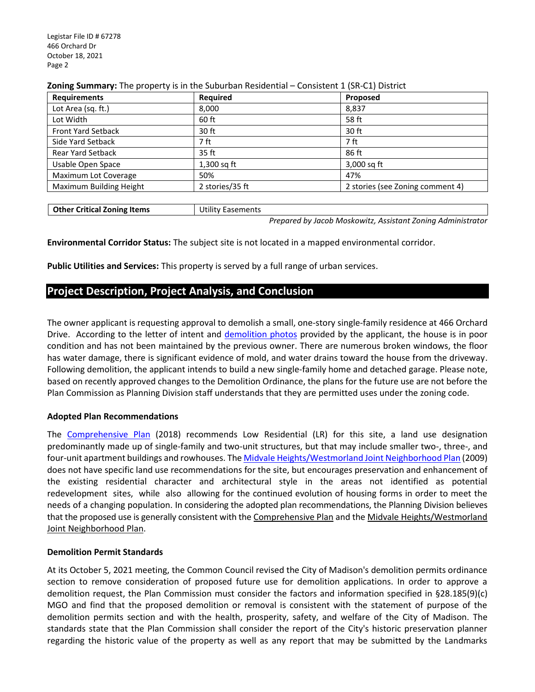| <b>Requirements</b>       | Required        | Proposed                         |
|---------------------------|-----------------|----------------------------------|
| Lot Area (sq. ft.)        | 8,000           | 8,837                            |
| Lot Width                 | 60 ft           | 58 ft                            |
| <b>Front Yard Setback</b> | 30 ft           | 30 ft                            |
| Side Yard Setback         | 7 ft            | 7 ft                             |
| <b>Rear Yard Setback</b>  | 35 ft           | 86 ft                            |
| Usable Open Space         | $1,300$ sq ft   | 3,000 sq ft                      |
| Maximum Lot Coverage      | 50%             | 47%                              |
| Maximum Building Height   | 2 stories/35 ft | 2 stories (see Zoning comment 4) |

### **Zoning Summary:** The property is in the Suburban Residential – Consistent 1 (SR-C1) District

**Other Critical Zoning Items** | Utility Easements

*Prepared by Jacob Moskowitz, Assistant Zoning Administrator*

**Environmental Corridor Status:** The subject site is not located in a mapped environmental corridor.

**Public Utilities and Services:** This property is served by a full range of urban services.

## **Project Description, Project Analysis, and Conclusion**

The owner applicant is requesting approval to demolish a small, one-story single-family residence at 466 Orchard Drive. According to the letter of intent and [demolition photos](https://madison.legistar.com/View.ashx?M=F&ID=9790955&GUID=6C11C648-F1FA-4E83-B6BC-82B6F18F1791) provided by the applicant, the house is in poor condition and has not been maintained by the previous owner. There are numerous broken windows, the floor has water damage, there is significant evidence of mold, and water drains toward the house from the driveway. Following demolition, the applicant intends to build a new single-family home and detached garage. Please note, based on recently approved changes to the Demolition Ordinance, the plans for the future use are not before the Plan Commission as Planning Division staff understands that they are permitted uses under the zoning code.

### **Adopted Plan Recommendations**

The [Comprehensive Plan](https://www.cityofmadison.com/dpced/planning/plans/440/#Citywide%20Plans) (2018) recommends Low Residential (LR) for this site, a land use designation predominantly made up of single-family and two-unit structures, but that may include smaller two-, three-, and four-unit apartment buildings and rowhouses. The [Midvale Heights/Westmorland Joint Neighborhood Plan](https://www.cityofmadison.com/dpced/planning/documents/Midvale_Westmorland.pdf) (2009) does not have specific land use recommendations for the site, but encourages preservation and enhancement of the existing residential character and architectural style in the areas not identified as potential redevelopment sites, while also allowing for the continued evolution of housing forms in order to meet the needs of a changing population. In considering the adopted plan recommendations, the Planning Division believes that the proposed use is generally consistent with the Comprehensive Plan and the Midvale Heights/Westmorland Joint Neighborhood Plan.

#### **Demolition Permit Standards**

At its October 5, 2021 meeting, the Common Council revised the City of Madison's demolition permits ordinance section to remove consideration of proposed future use for demolition applications. In order to approve a demolition request, the Plan Commission must consider the factors and information specified in §28.185(9)(c) MGO and find that the proposed demolition or removal is consistent with the statement of purpose of the demolition permits section and with the health, prosperity, safety, and welfare of the City of Madison. The standards state that the Plan Commission shall consider the report of the City's historic preservation planner regarding the historic value of the property as well as any report that may be submitted by the Landmarks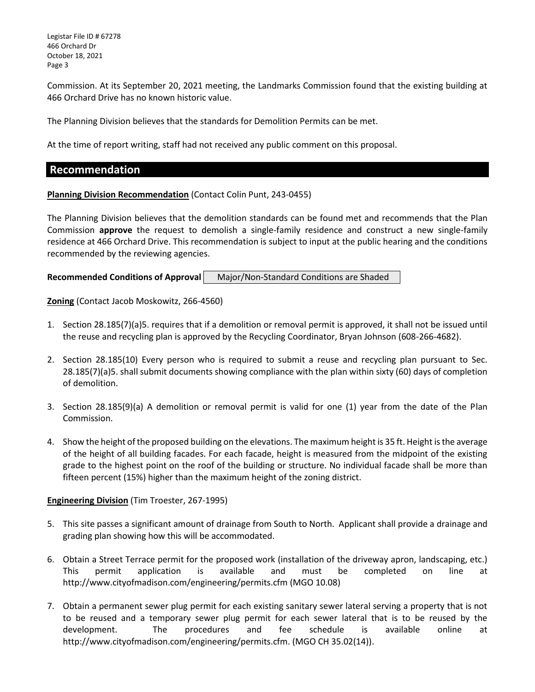Legistar File ID # 67278 466 Orchard Dr October 18, 2021 Page 3

Commission. At its September 20, 2021 meeting, the Landmarks Commission found that the existing building at 466 Orchard Drive has no known historic value.

The Planning Division believes that the standards for Demolition Permits can be met.

At the time of report writing, staff had not received any public comment on this proposal.

### **Recommendation**

### **Planning Division Recommendation** (Contact Colin Punt, 243-0455)

The Planning Division believes that the demolition standards can be found met and recommends that the Plan Commission **approve** the request to demolish a single-family residence and construct a new single-family residence at 466 Orchard Drive. This recommendation is subject to input at the public hearing and the conditions recommended by the reviewing agencies.

**Recommended Conditions of Approval | Major/Non-Standard Conditions are Shaded** 

**Zoning** (Contact Jacob Moskowitz, 266-4560)

- 1. Section 28.185(7)(a)5. requires that if a demolition or removal permit is approved, it shall not be issued until the reuse and recycling plan is approved by the Recycling Coordinator, Bryan Johnson (608-266-4682).
- 2. Section 28.185(10) Every person who is required to submit a reuse and recycling plan pursuant to Sec. 28.185(7)(a)5. shall submit documents showing compliance with the plan within sixty (60) days of completion of demolition.
- 3. Section 28.185(9)(a) A demolition or removal permit is valid for one (1) year from the date of the Plan Commission.
- 4. Show the height of the proposed building on the elevations. The maximum height is 35 ft. Height is the average of the height of all building facades. For each facade, height is measured from the midpoint of the existing grade to the highest point on the roof of the building or structure. No individual facade shall be more than fifteen percent (15%) higher than the maximum height of the zoning district.

### **Engineering Division** (Tim Troester, 267-1995)

- 5. This site passes a significant amount of drainage from South to North. Applicant shall provide a drainage and grading plan showing how this will be accommodated.
- 6. Obtain a Street Terrace permit for the proposed work (installation of the driveway apron, landscaping, etc.) This permit application is available and must be completed on line at http://www.cityofmadison.com/engineering/permits.cfm (MGO 10.08)
- 7. Obtain a permanent sewer plug permit for each existing sanitary sewer lateral serving a property that is not to be reused and a temporary sewer plug permit for each sewer lateral that is to be reused by the development. The procedures and fee schedule is available online at http://www.cityofmadison.com/engineering/permits.cfm. (MGO CH 35.02(14)).